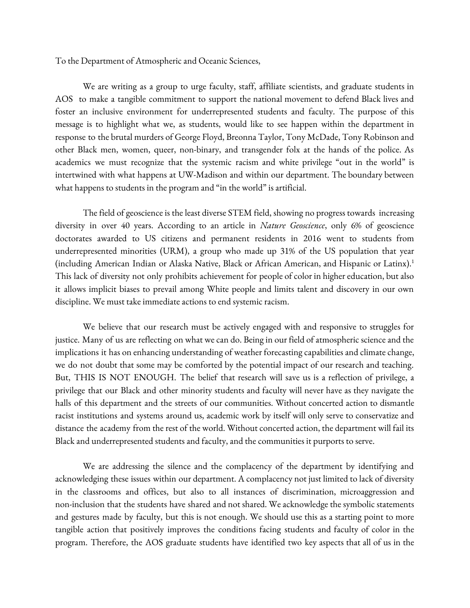To the Department of Atmospheric and Oceanic Sciences,

We are writing as a group to urge faculty, staff, affiliate scientists, and graduate students in AOS to make a tangible commitment to support the national movement to defend Black lives and foster an inclusive environment for underrepresented students and faculty. The purpose of this message is to highlight what we, as students, would like to see happen within the department in response to the brutal murders of George Floyd, Breonna Taylor, Tony McDade, Tony Robinson and other Black men, women, queer, non-binary, and transgender folx at the hands of the police. As academics we must recognize that the systemic racism and white privilege "out in the world" is intertwined with what happens at UW-Madison and within our department. The boundary between what happens to students in the program and "in the world" is artificial.

The field of geoscience is the least diverse STEM field, showing no progress towards increasing diversity in over 40 years. According to an article in *Nature Geoscience*, only 6% of geoscience doctorates awarded to US citizens and permanent residents in 2016 went to students from underrepresented minorities (URM), a group who made up 31% of the US population that year (including American Indian or Alaska Native, Black or African American, and Hispanic or Latinx). 1 This lack of diversity not only prohibits achievement for people of color in higher education, but also it allows implicit biases to prevail among White people and limits talent and discovery in our own discipline. We must take immediate actions to end systemic racism.

We believe that our research must be actively engaged with and responsive to struggles for justice. Many of us are reflecting on what we can do. Being in our field of atmospheric science and the implications it has on enhancing understanding of weather forecasting capabilities and climate change, we do not doubt that some may be comforted by the potential impact of our research and teaching. But, THIS IS NOT ENOUGH. The belief that research will save us is a reflection of privilege, a privilege that our Black and other minority students and faculty will never have as they navigate the halls of this department and the streets of our communities. Without concerted action to dismantle racist institutions and systems around us, academic work by itself will only serve to conservatize and distance the academy from the rest of the world. Without concerted action, the department will fail its Black and underrepresented students and faculty, and the communities it purports to serve.

We are addressing the silence and the complacency of the department by identifying and acknowledging these issues within our department. A complacency not just limited to lack of diversity in the classrooms and offices, but also to all instances of discrimination, microaggression and non-inclusion that the students have shared and not shared. We acknowledge the symbolic statements and gestures made by faculty, but this is not enough. We should use this as a starting point to more tangible action that positively improves the conditions facing students and faculty of color in the program. Therefore, the AOS graduate students have identified two key aspects that all of us in the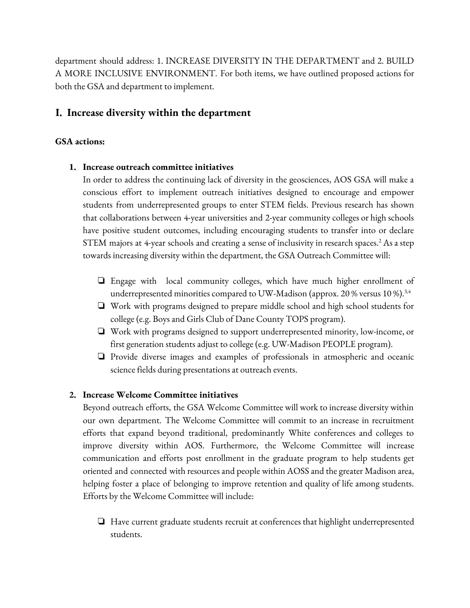department should address: 1. INCREASE DIVERSITY IN THE DEPARTMENT and 2. BUILD A MORE INCLUSIVE ENVIRONMENT. For both items, we have outlined proposed actions for both the GSA and department to implement.

## **I. Increase diversity within the department**

#### **GSA actions:**

#### **1. Increase outreach committee initiatives**

In order to address the continuing lack of diversity in the geosciences, AOS GSA will make a conscious effort to implement outreach initiatives designed to encourage and empower students from underrepresented groups to enter STEM fields. Previous research has shown that collaborations between 4-year universities and 2-year community colleges or high schools have positive student outcomes, including encouraging students to transfer into or declare  ${\rm STEM}$  majors at 4-year schools and creating a sense of inclusivity in research spaces. $^2$  As a step towards increasing diversity within the department, the GSA Outreach Committee will:

- ❏ Engage with local community colleges, which have much higher enrollment of underrepresented minorities compared to UW-Madison (approx. 20 % versus 10 %). $^{\rm 3,4}$
- ❏ Work with programs designed to prepare middle school and high school students for college (e.g. Boys and Girls Club of Dane County TOPS program).
- ❏ Work with programs designed to support underrepresented minority, low-income, or first generation students adjust to college (e.g. UW-Madison PEOPLE program).
- ❏ Provide diverse images and examples of professionals in atmospheric and oceanic science fields during presentations at outreach events.

#### **2. Increase Welcome Committee initiatives**

Beyond outreach efforts, the GSA Welcome Committee will work to increase diversity within our own department. The Welcome Committee will commit to an increase in recruitment efforts that expand beyond traditional, predominantly White conferences and colleges to improve diversity within AOS. Furthermore, the Welcome Committee will increase communication and efforts post enrollment in the graduate program to help students get oriented and connected with resources and people within AOSS and the greater Madison area, helping foster a place of belonging to improve retention and quality of life among students. Efforts by the Welcome Committee will include:

❏ Have current graduate students recruit at conferences that highlight underrepresented students.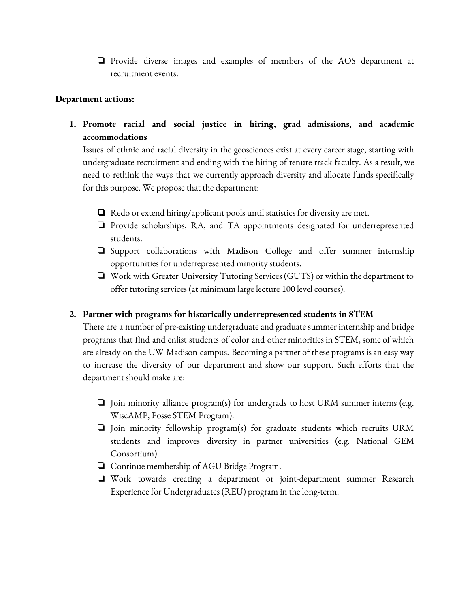❏ Provide diverse images and examples of members of the AOS department at recruitment events.

#### **Department actions:**

**1. Promote racial and social justice in hiring, grad admissions, and academic accommodations**

Issues of ethnic and racial diversity in the geosciences exist at every career stage, starting with undergraduate recruitment and ending with the hiring of tenure track faculty. As aresult, we need to rethink the ways that we currently approach diversity and allocate funds specifically for this purpose. We propose that the department:

- ❏ Redo or extend hiring/applicant pools until statistics for diversity are met.
- ❏ Provide scholarships, RA, and TA appointments designated for underrepresented students.
- ❏ Support collaborations with Madison College and offer summer internship opportunities for underrepresented minority students.
- ❏ Work with Greater University Tutoring Services (GUTS) or within the department to offer tutoring services (at minimum large lecture 100 level courses).

#### **2. Partner with programs for historically underrepresented students in STEM**

There are a number of pre-existing undergraduate and graduate summer internship and bridge programs that find and enlist students of color and other minorities in STEM, some of which are already on the UW-Madison campus. Becoming a partner of these programs is an easy way to increase the diversity of our department and show our support. Such efforts that the department should make are:

- ❏ Join minority alliance program(s) for undergrads to host URM summer interns (e.g. WiscAMP, Posse STEM Program).
- ❏ Join minority fellowship program(s) for graduate students which recruits URM students and improves diversity in partner universities (e.g. National GEM Consortium).
- ❏ Continue membership of AGU Bridge Program.
- ❏ Work towards creating a department or joint-department summer Research Experience for Undergraduates (REU) program in the long-term.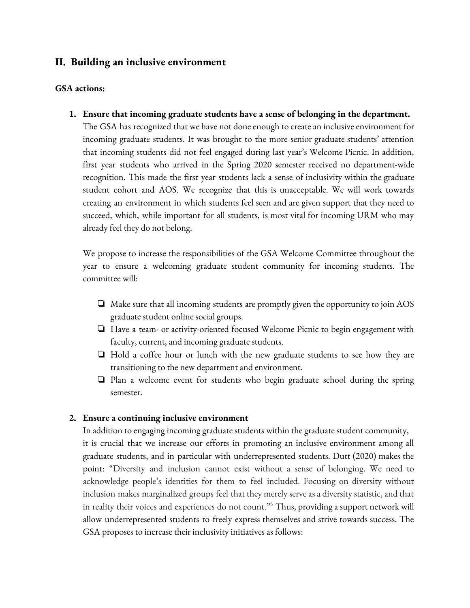## **II. Building an inclusive environment**

#### **GSA actions:**

**1. Ensure that incoming graduate students have a sense of belonging in the department.**

The GSA has recognized that we have not done enough to create an inclusive environment for incoming graduate students. It was brought to the more senior graduate students' attention that incoming students did not feel engaged during last year's Welcome Picnic. In addition, first year students who arrived in the Spring 2020 semester received no department-wide recognition. This made the first year students lack a sense of inclusivity within the graduate student cohort and AOS. We recognize that this is unacceptable. We will work towards creating an environment in which students feel seen and are given support that they need to succeed, which, while important for all students, is most vital for incoming URM who may already feel they do not belong.

We propose to increase the responsibilities of the GSA Welcome Committee throughout the year to ensure a welcoming graduate student community for incoming students. The committee will:

- ❏ Make sure that all incoming students are promptly given the opportunity to join AOS graduate student online social groups.
- ❏ Have a team- or activity-oriented focused Welcome Picnic to begin engagement with faculty, current, and incoming graduate students.
- ❏ Hold a coffee hour or lunch with the new graduate students to see how they are transitioning to the new department and environment.
- ❏ Plan a welcome event for students who begin graduate school during the spring semester.

#### **2. Ensure a continuing inclusive environment**

In addition to engaging incoming graduate students within the graduate student community, it is crucial that we increase our efforts in promoting an inclusive environment among all graduate students, and in particular with underrepresented students. Dutt (2020) makes the point: "Diversity and inclusion cannot exist without a sense of belonging. We need to acknowledge people's identities for them to feel included. Focusing on diversity without inclusion makes marginalized groups feel that they merely serve as a diversity statistic, and that in reality their voices and experiences do not count." <sup>5</sup> Thus, providing asupport network will allow underrepresented students to freely express themselves and strive towards success. The GSA proposes to increase their inclusivity initiatives as follows: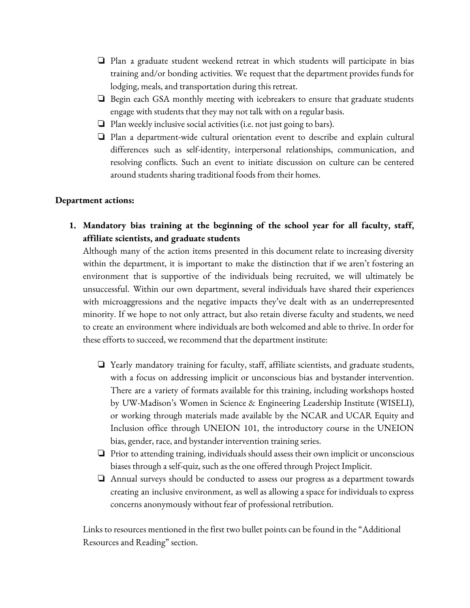- ❏ Plan a graduate student weekend retreat in which students will participate in bias training and/or bonding activities. We request that the department provides funds for lodging, meals, and transportation during this retreat.
- ❏ Begin each GSA monthly meeting with icebreakers to ensure that graduate students engage with students that they may not talk with on a regular basis.
- ❏ Plan weekly inclusive social activities (i.e. not just going to bars).
- ❏ Plan a department-wide cultural orientation event to describe and explain cultural differences such as self-identity, interpersonal relationships, communication, and resolving conflicts. Such an event to initiate discussion on culture can be centered around students sharing traditional foods from their homes.

#### **Department actions:**

**1. Mandatory bias training at the beginning of the school year for all faculty, staff, affiliate scientists, and graduate students**

Although many of the action items presented in this document relate to increasing diversity within the department, it is important to make the distinction that if we aren't fostering an environment that is supportive of the individuals being recruited, we will ultimately be unsuccessful. Within our own department, several individuals have shared their experiences with microaggressions and the negative impacts they've dealt with as an underrepresented minority. If we hope to not only attract, but also retain diverse faculty and students, we need to create an environment where individualsare both welcomed and able to thrive. In order for these efforts to succeed, we recommend that the department institute:

- ❏ Yearly mandatory training for faculty, staff, affiliate scientists, and graduate students, with a focus on addressing implicit or unconscious bias and bystander intervention. There are a variety of formats available for this training, including workshops hosted by UW-Madison's Women in Science & Engineering Leadership Institute (WISELI), or working through materials made available by the NCAR and UCAR Equity and Inclusion office through UNEION 101, the introductory course in the UNEION bias, gender, race, and bystander intervention training series.
- ❏ Prior to attending training, individuals should assess their own implicit or unconscious biases through a self-quiz, such as the one offered through Project Implicit.
- ❏ Annual surveys should be conducted to assess our progress as a department towards creating an inclusive environment, as well as allowing a space for individuals to express concerns anonymously without fear of professional retribution.

Links to resources mentioned in the first two bullet points can be found in the "Additional Resources and Reading" section.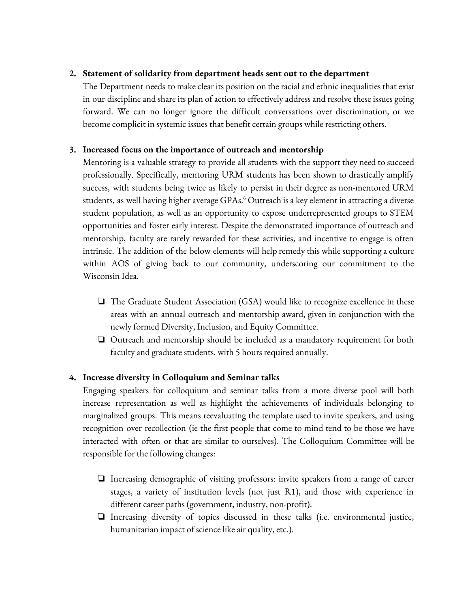### **2. Statement of solidarity from department heads sent out to the department**

The Department needs to make clear its position on the racialand ethnic inequalities that exist in our discipline and share its plan of action to effectively address and resolve these issues going forward. We can no longer ignore the difficult conversations over discrimination, or we become complicit in systemic issues that benefit certain groups while restricting others.

### **3. Increased focus on the importance of outreach and mentorship**

Mentoring is a valuable strategy to provide all students with the support they need to succeed professionally. Specifically, mentoring URM students has been shown to drastically amplify success, with students being twice as likely to persist in their degree as non-mentored URM students, as well having higher average GPAs.<sup>6</sup> Outreach is a key element in attracting a diverse student population, as well as an opportunity to expose underrepresented groups to STEM opportunities and foster early interest. Despite the demonstrated importance of outreach and mentorship, faculty are rarely rewarded for these activities, and incentive to engage is often intrinsic. The addition of the below elements will help remedy this while supporting a culture within AOS of giving back to our community, underscoring our commitment to the Wisconsin Idea.

- ❏ The Graduate Student Association (GSA) would like to recognize excellence in these areas with an annual outreach and mentorship award, given in conjunction with the newly formed Diversity, Inclusion, and Equity Committee.
- ❏ Outreach and mentorship should be included as a mandatory requirement for both faculty and graduate students, with 5 hours required annually.

## **4. Increase diversity in Colloquium and Seminar talks**

Engaging speakers for colloquium and seminar talks from a more diverse pool will both increase representation as well as highlight the achievements of individuals belonging to marginalized groups. This means reevaluating the template used to invite speakers, and using recognition over recollection (ie the first people that come to mind tend to be those we have interacted with often or that are similar to ourselves). The Colloquium Committee will be responsible for the following changes:

- ❏ Increasing demographic of visiting professors: invite speakers from a range of career stages, a variety of institution levels (not just R1), and those with experience in different career paths (government, industry, non-profit).
- ❏ Increasing diversity of topics discussed in these talks (i.e. environmental justice, humanitarian impact of science like air quality, etc.).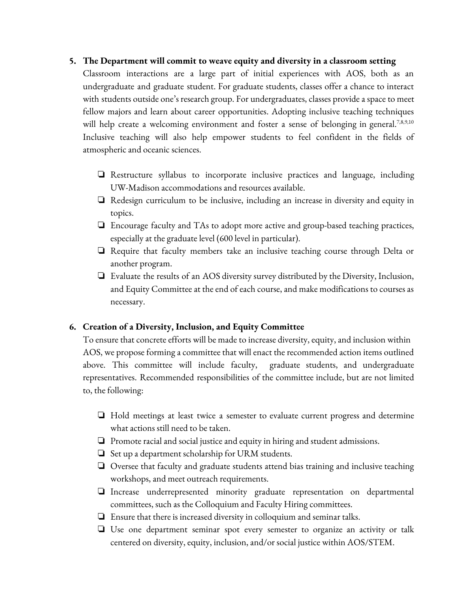#### **5. The Department will commit to weave equity and diversity in a classroom setting**

Classroom interactions are a large part of initial experiences with AOS, both as an undergraduate and graduate student. For graduate students, classes offer a chance to interact with students outside one's research group. For undergraduates, classes provide a space to meet fellow majors and learn about career opportunities. Adopting inclusive teaching techniques will help create a welcoming environment and foster a sense of belonging in general.<sup>7,8,9,10</sup> Inclusive teaching will also help empower students to feel confident in the fields of atmospheric and oceanic sciences.

- ❏ Restructure syllabus to incorporate inclusive practices and language, including UW-Madison accommodations and resources available.
- ❏ Redesign curriculum to be inclusive, including an increase in diversity and equity in topics.
- ❏ Encourage faculty and TAs to adopt more active and group-based teaching practices, especially at the graduate level (600 level in particular).
- ❏ Require that faculty members take an inclusive teaching course through Delta or another program.
- ❏ Evaluate the results of an AOS diversity survey distributed by the Diversity, Inclusion, and Equity Committee at the end of each course, and make modifications to courses as necessary.

## **6. Creation of a Diversity, Inclusion, and Equity Committee**

To ensure that concrete efforts will be made to increase diversity, equity, and inclusion within AOS, we propose forming a committee that will enact the recommended action items outlined above. This committee will include faculty, graduate students, and undergraduate representatives. Recommended responsibilities of the committee include, but are not limited to, the following:

- ❏ Hold meetings at least twice a semester to evaluate current progress and determine what actions still need to be taken.
- ❏ Promote racial and social justice and equity in hiring and student admissions.
- $\Box$  Set up a department scholarship for URM students.
- ❏ Oversee that faculty and graduate students attend bias training and inclusive teaching workshops, and meet outreach requirements.
- ❏ Increase underrepresented minority graduate representation on departmental committees, such as the Colloquium and Faculty Hiring committees.
- ❏ Ensure that there is increased diversity in colloquium and seminar talks.
- ❏ Use one department seminar spot every semester to organize an activity or talk centered on diversity, equity, inclusion, and/or social justice within AOS/STEM.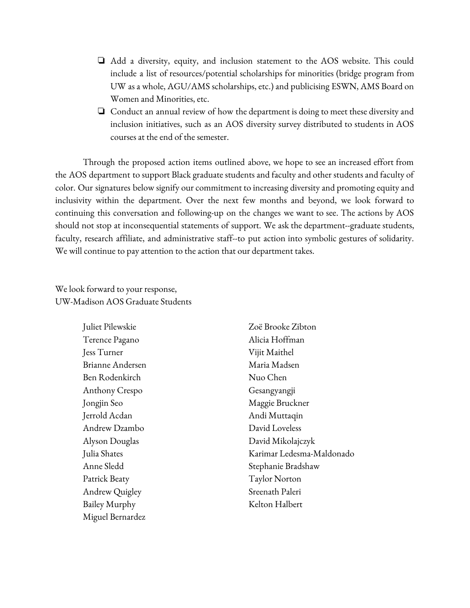- ❏ Add a diversity, equity, and inclusion statement to the AOS website. This could include a list of resources/potential scholarships for minorities (bridge program from UW as a whole, AGU/AMS scholarships, etc.) and publicising ESWN, AMS Board on Women and Minorities, etc.
- ❏ Conduct an annual review of how the department is doing to meet these diversity and inclusion initiatives, such as an AOS diversity survey distributed to students in AOS courses at the end of the semester.

Through the proposed action items outlined above, we hope to see an increased effort from the AOS department to support Black graduate students and faculty and other students and faculty of color. Our signatures below signify our commitment to increasing diversity and promoting equity and inclusivity within the department. Over the next few months and beyond, we look forward to continuing this conversation and following-up on the changes we want to see. The actions by AOS should not stop at inconsequential statements of support. We ask the department--graduate students, faculty, research affiliate, and administrative staff--to put action into symbolic gestures of solidarity. We will continue to pay attention to the action that our department takes.

We look forward to your response, UW-Madison AOS Graduate Students

> Juliet Pilewskie Terence Pagano Jess Turner Brianne Andersen Ben Rodenkirch Anthony Crespo Jongjin Seo Jerrold Acdan Andrew Dzambo Alyson Douglas Julia Shates Anne Sledd Patrick Beaty Andrew Quigley Bailey Murphy Miguel Bernardez

Zoë Brooke Zibton Alicia Hoffman Vijit Maithel Maria Madsen Nuo Chen Gesangyangji Maggie Bruckner Andi Muttaqin David Loveless David Mikolajczyk Karimar Ledesma-Maldonado Stephanie Bradshaw Taylor Norton Sreenath Paleri Kelton Halbert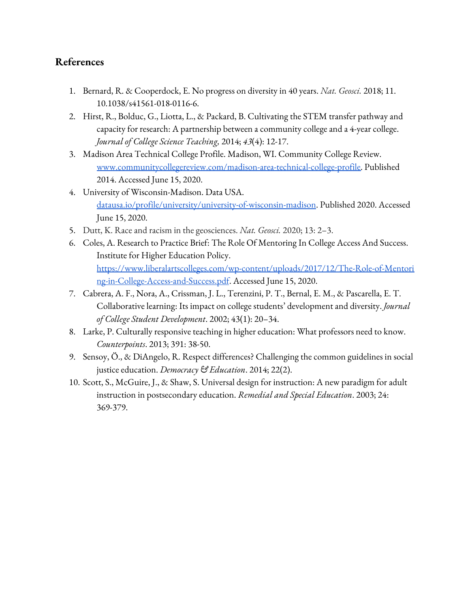# **References**

- 1. Bernard, R. & Cooperdock, E. No progress on diversity in 40 years. *Nat. Geosci.* 2018; 11. 10.1038/s41561-018-0116-6.
- 2. Hirst, R., Bolduc, G., Liotta, L., & Packard, B. Cultivating the STEM transfer pathway and capacity for research: A partnership between a community college and a 4-year college. *Journal of College Science Teaching,* 2014; *43*(4): 12-17.
- 3. Madison Area Technical College Profile. Madison, WI. Community College Review. [www.communitycollegereview.com/madison-area-technical-college-profile.](http://www.communitycollegereview.com/madison-area-technical-college-profile) Published 2014. Accessed June 15, 2020.
- 4. University of Wisconsin-Madison. Data USA. [datausa.io/profile/university/university-of-wisconsin-madison.](https://datausa.io/profile/university/university-of-wisconsin-madison) Published 2020. Accessed June 15, 2020.
- 5. Dutt, K. Race and racism in the geosciences. *Nat. Geosci.* 2020; 13: 2–3.
- 6. Coles, A. Research to Practice Brief: The Role Of Mentoring In College Access And Success. Institute for Higher Education Policy. [https://www.liberalartscolleges.com/wp-content/uploads/2017/12/The-Role-of-Mentori](https://www.liberalartscolleges.com/wp-content/uploads/2017/12/The-Role-of-Mentoring-in-College-Access-and-Success.pdf) [ng-in-College-Access-and-Success.pdf](https://www.liberalartscolleges.com/wp-content/uploads/2017/12/The-Role-of-Mentoring-in-College-Access-and-Success.pdf). Accessed June 15, 2020.
- 7. Cabrera, A. F., Nora, A., Crissman, J. L., Terenzini, P. T., Bernal, E. M., & Pascarella, E. T. Collaborative learning: Its impact on college students' development and diversity. *Journal of College Student Development*. 2002; 43(1): 20–34.
- 8. Larke, P. Culturally responsive teaching in higher education: What professors need to know. *Counterpoints*. 2013; 391: 38-50.
- 9. Sensoy, Ö., & DiAngelo, R. Respect differences? Challenging the common guidelines in social justice education. *Democracy & Education*. 2014; 22(2).
- 10. Scott, S., McGuire, J., & Shaw, S. Universal design for instruction: A new paradigm for adult instruction in postsecondary education. *Remedial and Special Education*. 2003; 24: 369-379.